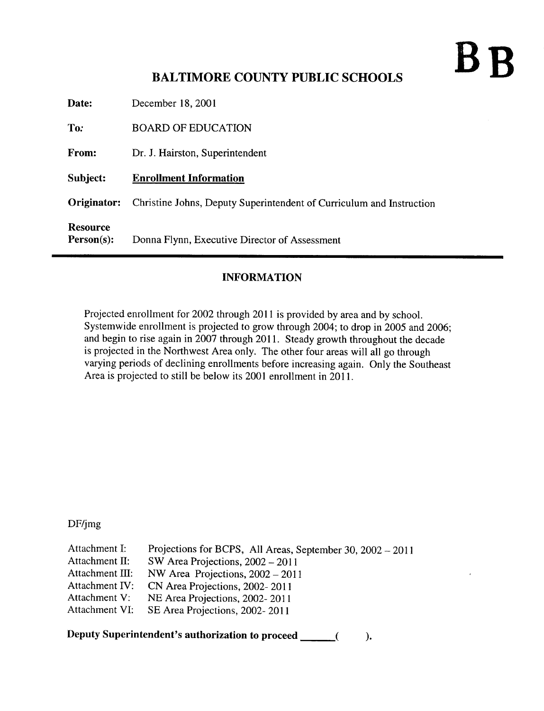## $\mathbf{B}$

## BALTIMORE COUNTY PUBLIC SCHOOLS

| Date:       | December 18, 2001                                                    |
|-------------|----------------------------------------------------------------------|
| To:         | <b>BOARD OF EDUCATION</b>                                            |
| From:       | Dr. J. Hairston, Superintendent                                      |
| Subject:    | <b>Enrollment Information</b>                                        |
|             |                                                                      |
| Originator: | Christine Johns, Deputy Superintendent of Curriculum and Instruction |

## INFORMATION

Projected enrollment for 2002 through 2011 is provided by area and by school. Systemwide enrollment is projected to grow through 2004; to drop in 2005 and 2006; and begin to rise again in 2007 through 2011 . Steady growth throughout the decade is projected in the Northwest Area only. The other four areas will all go through varying periods of declining enrollments before increasing again. Only the Southeast Area is projected to still be below its 2001 enrollment in 2011 .

DF/jmg

| Attachment I:      | Projections for BCPS, All Areas, September 30, 2002 - 2011 |
|--------------------|------------------------------------------------------------|
| Attachment $\Pi$ : | SW Area Projections, $2002 - 2011$                         |
| Attachment III:    | NW Area Projections, $2002 - 2011$                         |
| Attachment IV:     | CN Area Projections, 2002-2011                             |
| Attachment V:      | NE Area Projections, 2002-2011                             |
| Attachment VI:     | SE Area Projections, 2002-2011                             |

Deputy Superintendent's authorization to proceed  $\mathbf{).}$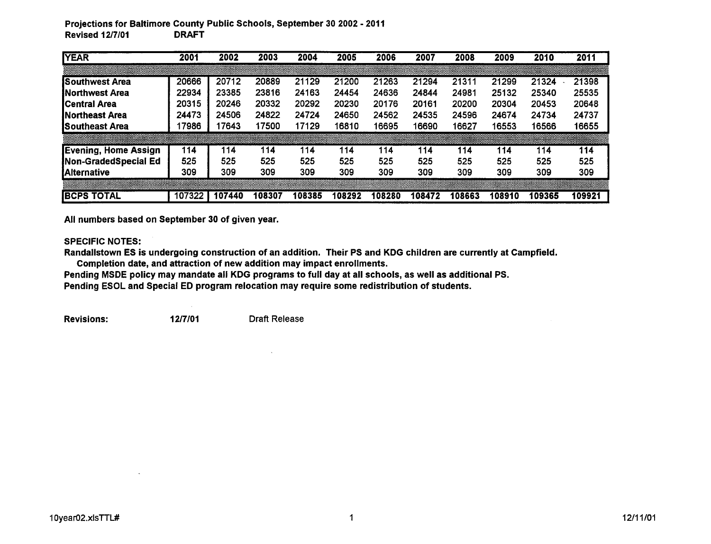## Projections for Baltimore County Public Schools, September 30 2002 - 2011 **Revised 12/7/01**

| <b>YEAR</b>            | 2001   | 2002   | 2003   | 2004   | 2005   | 2006   | 2007   | 2008   | 2009   | 2010   | 2011   |
|------------------------|--------|--------|--------|--------|--------|--------|--------|--------|--------|--------|--------|
|                        |        |        |        |        |        |        |        |        |        |        |        |
| ISouthwest Area        | 20666  | 20712  | 20889  | 21129  | 21200  | 21263  | 21294  | 21311  | 21299  | 21324  | 21398  |
| <b>INorthwest Area</b> | 22934  | 23385  | 23816  | 24163  | 24454  | 24636  | 24844  | 24981  | 25132  | 25340  | 25535  |
| <b>ICentral Area</b>   | 20315  | 20246  | 20332  | 20292  | 20230  | 20176  | 20161  | 20200  | 20304  | 20453  | 20648  |
| <b>INortheast Area</b> | 24473  | 24506  | 24822  | 24724  | 24650  | 24562  | 24535  | 24596  | 24674  | 24734  | 24737  |
| <b>ISoutheast Area</b> | 17986  | 17643  | 17500  | 17129  | 16810  | 16695  | 16690  | 16627  | 16553  | 16566  | 16655  |
|                        |        |        |        |        |        |        |        |        |        |        |        |
| Evening, Home Assign   | 114    | 114    | 114    | 114    | 114    | 114    | 114    | 114    | 114    | 114    | 114    |
| Non-GradedSpecial Ed   | 525    | 525    | 525    | 525    | 525    | 525    | 525    | 525    | 525    | 525    | 525    |
| <b>Alternative</b>     | 309    | 309    | 309    | 309    | 309    | 309    | 309    | 309    | 309    | 309    | 309    |
|                        |        |        |        |        |        |        |        |        |        |        |        |
| <b>IBCPS TOTAL</b>     | 107322 | 107440 | 108307 | 108385 | 108292 | 108280 | 108472 | 108663 | 108910 | 109365 | 109921 |

All numbers based on September 30 of given year.

SPECIFIC NOTES:

Randallstown ES is undergoing construction of an addition. Their PS and KDG children are currently at Campfield. Completion date, and attraction of new addition may impact enrollments .

Pending MSDE policy may mandate all KDG programs to full day at all schools, as well as additional PS.

Pending ESOL and Special ED program relocation may require some redistribution of students.

Revisions: 12/7/01 Draft Release

 $\sim 10^{-1}$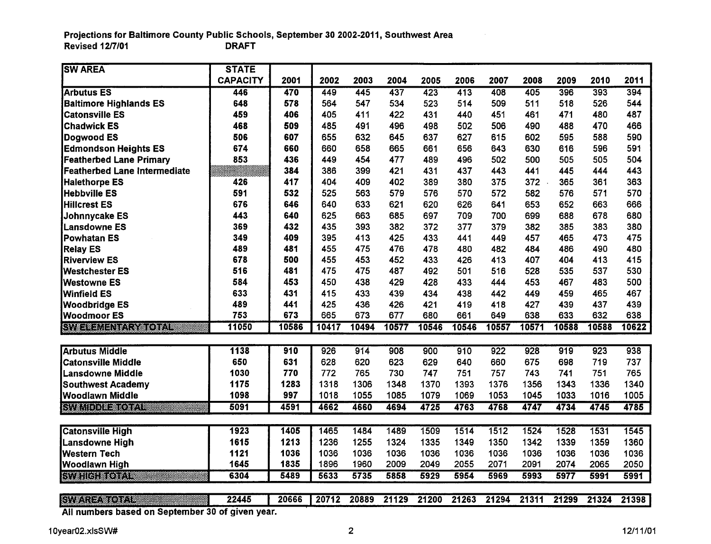Projections for Baltimore County Public Schools, September 30 2002-2011, Southwest Area  $Revised$  12/7/01

| <b>SW AREA</b>                 | <b>STATE</b>    |       |       |       |       |       |       |       |       |       |       |       |
|--------------------------------|-----------------|-------|-------|-------|-------|-------|-------|-------|-------|-------|-------|-------|
|                                | <b>CAPACITY</b> | 2001  | 2002  | 2003  | 2004  | 2005  | 2006  | 2007  | 2008  | 2009  | 2010  | 2011  |
| <b>Arbutus ES</b>              | 446             | 470   | 449   | 445   | 437   | 423   | 413   | 408   | 405   | 396   | 393   | 394   |
| <b>Baltimore Highlands ES</b>  | 648             | 578   | 564   | 547   | 534   | 523   | 514   | 509   | 511   | 518   | 526   | 544   |
| <b>Catonsville ES</b>          | 459             | 406   | 405   | 411   | 422   | 431   | 440   | 451   | 461   | 471   | 480   | 487   |
| <b>Chadwick ES</b>             | 468             | 509   | 485   | 491   | 496   | 498   | 502   | 506   | 490   | 488   | 470   | 466   |
| Dogwood ES                     | 506             | 607   | 655   | 632   | 645   | 637   | 627   | 615   | 602   | 595   | 588   | 590   |
| <b>Edmondson Heights ES</b>    | 674             | 660   | 660   | 658   | 665   | 661   | 656   | 643   | 630   | 616   | 596   | 591   |
| <b>Featherbed Lane Primary</b> | 853             | 436   | 449   | 454   | 477   | 489   | 496   | 502   | 500   | 505   | 505   | 504   |
| Featherbed Lane Intermediate   |                 | 384   | 386   | 399   | 421   | 431   | 437   | 443   | 441   | 445   | 444   | 443   |
| <b>Halethorpe ES</b>           | 426             | 417   | 404   | 409   | 402   | 389   | 380   | 375   | 372   | 365   | 361   | 363   |
| <b>Hebbville ES</b>            | 591             | 532   | 525   | 563   | 579   | 576   | 570   | 572   | 582   | 576   | 571   | 570   |
| <b>Hillcrest ES</b>            | 676             | 646   | 640   | 633   | 621   | 620   | 626   | 641   | 653   | 652   | 663   | 666   |
| Johnnycake ES                  | 443             | 640   | 625   | 663   | 685   | 697   | 709   | 700   | 699   | 688   | 678   | 680   |
| Lansdowne ES                   | 369             | 432   | 435   | 393   | 382   | 372   | 377   | 379   | 382   | 385   | 383   | 380   |
| Powhatan ES                    | 349             | 409   | 395   | 413   | 425   | 433   | 441   | 449   | 457   | 465   | 473   | 475   |
| <b>Relay ES</b>                | 489             | 481   | 455   | 475   | 476   | 478   | 480   | 482   | 484   | 486   | 490   | 480   |
| <b>Riverview ES</b>            | 678             | 500   | 455   | 453   | 452   | 433   | 426   | 413   | 407   | 404   | 413   | 415   |
| <b>Westchester ES</b>          | 516             | 481   | 475   | 475   | 487   | 492   | 501   | 516   | 528   | 535   | 537   | 530   |
| Westowne ES                    | 584             | 453   | 450   | 438   | 429   | 428   | 433   | 444   | 453   | 467   | 483   | 500   |
| Winfield ES                    | 633             | 431   | 415   | 433   | 439   | 434   | 438   | 442   | 449   | 459   | 465   | 467   |
| <b>Woodbridge ES</b>           | 489             | 441   | 425   | 436   | 426   | 421   | 419   | 418   | 427   | 439   | 437   | 439   |
| <b>Woodmoor ES</b>             | 753             | 673   | 665   | 673   | 677   | 680   | 661   | 649   | 638   | 633   | 632   | 638   |
| <b>SYNSESSIEN ANDERSON</b>     | 11050           | 10586 | 10417 | 10494 | 10577 | 10546 | 10546 | 10557 | 10571 | 10588 | 10588 | 10622 |
|                                |                 |       |       |       |       |       |       |       |       |       |       |       |
| <b>Arbutus Middle</b>          | 1138            | 910   | 926   | 914   | 908   | 900   | 910   | 922   | 928   | 919   | 923   | 938   |
| <b>Catonsville Middle</b>      | 650             | 631   | 628   | 620   | 623   | 629   | 640   | 660   | 675   | 698   | 719   | 737   |
| <b>Lansdowne Middle</b>        | 1030            | 770   | 772   | 765   | 730   | 747   | 751   | 757   | 743   | 741   | 751   | 765   |
| <b>Southwest Academy</b>       | 1175            | 1283  | 1318  | 1306  | 1348  | 1370  | 1393  | 1376  | 1356  | 1343  | 1336  | 1340  |
| <b>Woodlawn Middle</b>         | 1098            | 997   | 1018  | 1055  | 1085  | 1079  | 1069  | 1053  | 1045  | 1033  | 1016  | 1005  |
| <b>RYMITED THREE OF STRE</b>   | 5091            | 4591  | 4662  | 4660  | 4694  | 4725  | 4763  | 4768  | 4747  | 4734  | 4745  | 4785  |
| <b>Catonsville High</b>        | 1923            | 1405  | 1465  | 1484  | 1489  | 1509  | 1514  | 1512  | 1524  | 1528  | 1531  | 1545  |
| Lansdowne High                 | 1615            | 1213  | 1236  | 1255  | 1324  | 1335  | 1349  | 1350  | 1342  | 1339  | 1359  | 1360  |
| <b>Western Tech</b>            | 1121            | 1036  | 1036  | 1036  | 1036  | 1036  | 1036  | 1036  | 1036  | 1036  | 1036  | 1036  |
| Woodlawn High                  | 1645            | 1835  | 1896  | 1960  | 2009  | 2049  | 2055  | 2071  | 2091  | 2074  | 2065  | 2050  |
| <b>EVELLE MODEL</b>            | 6304            | 5489  | 5633  | 5735  | 5858  | 5929  | 5954  | 5969  | 5993  | 5977  | 5991  | 5991  |
|                                |                 |       |       |       |       |       |       |       |       |       |       |       |
| <b>EXPANDING PROPERTY</b>      | 22445           | 20666 | 20712 | 20889 | 21129 | 21200 | 21263 | 21294 | 21311 | 21299 | 21324 | 21398 |

All numbers based on September 30 of given year.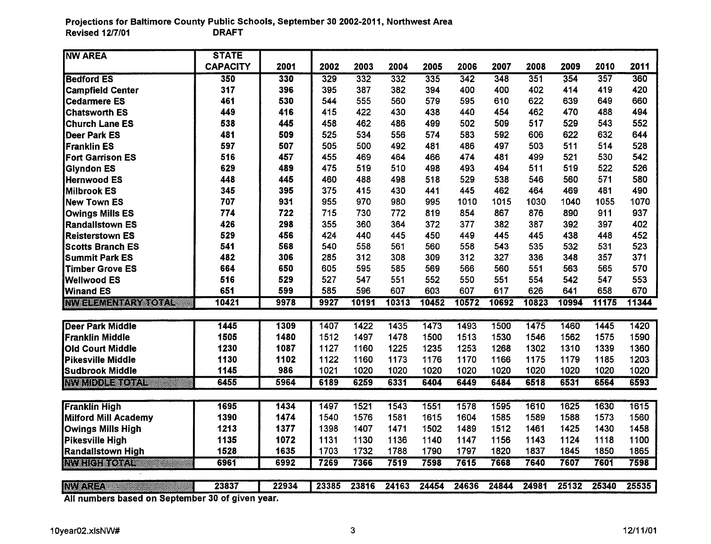Projections for Baltimore County Public Schools, September 30 2002-2011, Northwest Area Revised  $12/7/01$ 

| <b>NW AREA</b>                               | <b>STATE</b>                                 |       |       |       |       |       |       |       |       |       |       |       |
|----------------------------------------------|----------------------------------------------|-------|-------|-------|-------|-------|-------|-------|-------|-------|-------|-------|
|                                              | <b>CAPACITY</b>                              | 2001  | 2002  | 2003  | 2004  | 2005  | 2006  | 2007  | 2008  | 2009  | 2010  | 2011  |
| <b>Bedford ES</b>                            | 350                                          | 330   | 329   | 332   | 332   | 335   | 342   | 348   | 351   | 354   | 357   | 360   |
| <b>Campfield Center</b>                      | 317                                          | 396   | 395   | 387   | 382   | 394   | 400   | 400   | 402   | 414   | 419   | 420   |
| <b>Cedarmere ES</b>                          | 461                                          | 530   | 544   | 555   | 560   | 579   | 595   | 610   | 622   | 639   | 649   | 660   |
| <b>Chatsworth ES</b>                         | 449                                          | 416   | 415   | 422   | 430   | 438   | 440   | 454   | 462   | 470   | 488   | 494   |
| Church Lane ES                               | 538                                          | 445   | 458   | 462   | 486   | 499   | 502   | 509   | 517   | 529   | 543   | 552   |
| <b>Deer Park ES</b>                          | 481                                          | 509   | 525   | 534   | 556   | 574   | 583   | 592   | 606   | 622   | 632   | 644   |
| Franklin ES                                  | 597                                          | 507   | 505   | 500   | 492   | 481   | 486   | 497   | 503   | 511   | 514   | 528   |
| <b>Fort Garrison ES</b>                      | 516                                          | 457   | 455   | 469   | 464   | 466   | 474   | 481   | 499   | 521   | 530   | 542   |
| <b>Glyndon ES</b>                            | 629                                          | 489   | 475   | 519   | 510   | 498   | 493   | 494   | 511   | 519   | 522   | 526   |
| Hernwood ES                                  | 448                                          | 445   | 460   | 488   | 498   | 518   | 529   | 538   | 546   | 560   | 571   | 580   |
| <b>Milbrook ES</b>                           | 345                                          | 395   | 375   | 415   | 430   | 441   | 445   | 462   | 464   | 469   | 481   | 490   |
| New Town ES                                  | 707                                          | 931   | 955   | 970   | 980   | 995   | 1010  | 1015  | 1030  | 1040  | 1055  | 1070  |
| <b>Owings Mills ES</b>                       | 774                                          | 722   | 715   | 730   | 772   | 819   | 854   | 867   | 876   | 890   | 911   | 937   |
| Randallstown ES                              | 426                                          | 298   | 355   | 360   | 364   | 372   | 377   | 382   | 387   | 392   | 397   | 402   |
| <b>Reisterstown ES</b>                       | 529                                          | 456   | 424   | 440   | 445   | 450   | 449   | 445   | 445   | 438   | 448   | 452   |
| <b>Scotts Branch ES</b>                      | 541                                          | 568   | 540   | 558   | 561   | 560   | 558   | 543   | 535   | 532   | 531   | 523   |
| <b>Summit Park ES</b>                        | 482                                          | 306   | 285   | 312   | 308   | 309   | 312   | 327   | 336   | 348   | 357   | 371   |
| <b>Timber Grove ES</b>                       | 664                                          | 650   | 605   | 595   | 585   | 569   | 566   | 560   | 551   | 563   | 565   | 570   |
| <b>Wellwood ES</b>                           | 516                                          | 529   | 527   | 547   | 551   | 552   | 550   | 551   | 554   | 542   | 547   | 553   |
| Winand ES                                    | 651                                          | 599   | 585   | 596   | 607   | 603   | 607   | 617   | 626   | 641   | 658   | 670   |
| <b>INVERSIONAL MENTRE COMPARE</b>            | 10421                                        | 9978  | 9927  | 10191 | 10313 | 10452 | 10572 | 10692 | 10823 | 10994 | 11175 | 11344 |
| <b>Deer Park Middle</b>                      | 1445                                         | 1309  | 1407  | 1422  | 1435  | 1473  | 1493  | 1500  | 1475  | 1460  | 1445  | 1420  |
| Franklin Middle                              | 1505                                         | 1480  | 1512  | 1497  | 1478  | 1500  | 1513  | 1530  | 1546  | 1562  | 1575  | 1590  |
| Old Court Middle                             | 1230                                         | 1087  | 1127  | 1160  | 1225  | 1235  | 1253  | 1268  | 1302  | 1310  | 1339  | 1360  |
| <b>Pikesville Middle</b>                     | 1130                                         | 1102  | 1122  | 1160  | 1173  | 1176  | 1170  | 1166  | 1175  | 1179  | 1185  | 1203  |
| <b>Sudbrook Middle</b>                       | 1145                                         | 986   | 1021  | 1020  | 1020  | 1020  | 1020  | 1020  | 1020  | 1020  | 1020  | 1020  |
| <b>NITED BEEFING</b>                         | 6455                                         | 5964  | 6189  | 6259  | 6331  | 6404  | 6449  | 6484  | 6518  | 6531  | 6564  | 6593  |
|                                              |                                              |       |       |       |       |       |       |       |       |       |       |       |
| <b>Franklin High</b>                         | 1695                                         | 1434  | 1497  | 1521  | 1543  | 1551  | 1578  | 1595  | 1610  | 1625  | 1630  | 1615  |
| <b>Milford Mill Academy</b>                  | 1390                                         | 1474  | 1540  | 1576  | 1581  | 1615  | 1604  | 1585  | 1589  | 1588  | 1573  | 1560  |
| <b>Owings Mills High</b>                     | 1213                                         | 1377  | 1398  | 1407  | 1471  | 1502  | 1489  | 1512  | 1461  | 1425  | 1430  | 1458  |
| <b>Pikesville High</b>                       | 1135                                         | 1072  | 1131  | 1130  | 1136  | 1140  | 1147  | 1156  | 1143  | 1124  | 1118  | 1100  |
| <b>Randallstown High</b>                     | 1528                                         | 1635  | 1703  | 1732  | 1788  | 1790  | 1797  | 1820  | 1837  | 1845  | 1850  | 1865  |
| <b>INVERTITY EXPERT</b>                      | 6961                                         | 6992  | 7269  | 7366  | 7519  | 7598  | 7615  | 7668  | 7640  | 7607  | 7601  | 7598  |
|                                              |                                              |       |       |       |       |       |       |       |       |       |       |       |
| <b>REFERENCE</b><br>$A H = 1$<br>e.<br>وسقسم | 23837<br>$\overline{a}$ and<br>E alian izani | 22934 | 23385 | 23816 | 24163 | 24454 | 24636 | 24844 | 24981 | 25132 | 25340 | 25535 |

All numbers based on September 30 of given year.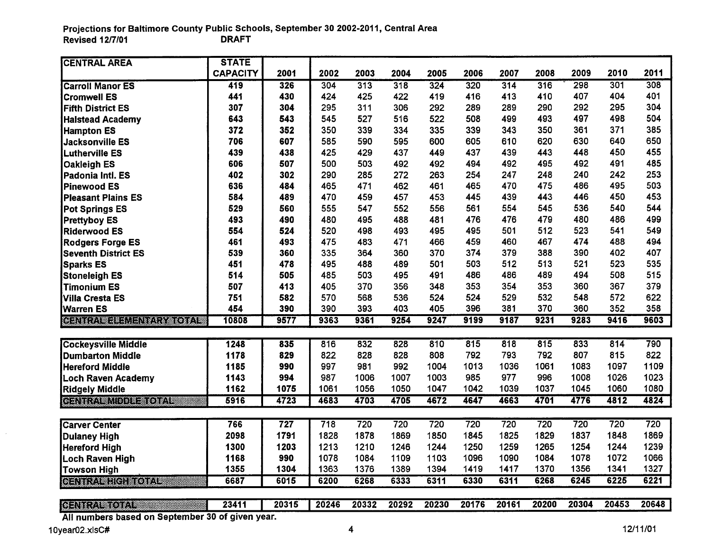| <u> Genhemmorf</u><br>All numbers based on September 30 of given year.                                                | 23411           | 20315       | 20246       | 20332       | 20292      | 20230       | 20176      | 20161      | 20200      | 20304      | 20453      | 20648             |
|-----------------------------------------------------------------------------------------------------------------------|-----------------|-------------|-------------|-------------|------------|-------------|------------|------------|------------|------------|------------|-------------------|
|                                                                                                                       |                 |             |             |             |            |             |            |            |            |            |            |                   |
| <u> Generalistischer Schwarzen und der Englischen Schwarzung und der Englischen Und und Englischen Und und der En</u> | 6687            | 6015        | 6200        | 6268        | 6333       | 6311        | 6330       | 6311       | 6268       | 6245       | 6225       | $\overline{6221}$ |
| Towson High                                                                                                           | 1355            | 1304        | 1363        | 1376        | 1389       | 1394        | 1419       | 1417       | 1370       | 1356       | 1341       | 1327              |
| Loch Raven High                                                                                                       | 1168            | 990         | 1078        | 1084        | 1109       | 1103        | 1096       | 1090       | 1084       | 1078       | 1072       | 1066              |
| <b>Hereford High</b>                                                                                                  | 1300            | 1203        | 1213        | 1210        | 1246       | 1244        | 1250       | 1259       | 1265       | 1254       | 1244       | 1239              |
| <b>Dulaney High</b>                                                                                                   | 2098            | 1791        | 1828        | 1878        | 1869       | 1850        | 1845       | 1825       | 1829       | 1837       | 1848       | 1869              |
| <b>Carver Center</b>                                                                                                  | 766             | 727         | 718         | 720         | 720        | 720         | 720        | 720        | 720        | 720        | 720        | 720               |
|                                                                                                                       |                 |             |             |             |            |             |            |            |            |            |            |                   |
| reneznandi a ozn                                                                                                      | 5916            | 4723        | 4683        | 4703        | 4705       | 4672        | 4647       | 4663       | 4701       | 4776       | 4812       | 4824              |
| <b>Ridgely Middle</b>                                                                                                 | 1162            | 1075        | 1061        | 1056        | 1050       | 1047        | 1042       | 1039       | 1037       | 1045       | 1060       | 1080              |
| <b>Loch Raven Academy</b>                                                                                             | 1143            | 994         | 987         | 1006        | 1007       | 1003        | 985        | 977        | 996        | 1008       | 1026       | 1023              |
| <b>Hereford Middle</b>                                                                                                | 1185            | 990         | 997         | 981         | 992        | 1004        | 1013       | 1036       | 1061       | 1083       | 1097       | 1109              |
| <b>Dumbarton Middle</b>                                                                                               | 1178            | 829         | 822         | 828         | 828        | 808         | 792        | 793        | 792        | 807        | 815        | 822               |
| <b>Cockeysville Middle</b>                                                                                            | 1248            | 835         | 816         | 832         | 828        | 810         | 815        | 818        | 815        | 833        | 814        | 790               |
|                                                                                                                       |                 |             |             |             |            |             |            |            |            |            |            |                   |
| <b>Warren ES</b><br><b>GENERAL BELLEVILLE DE LA</b>                                                                   | 454<br>10808    | 390<br>9577 | 390<br>9363 | 393<br>9361 | 9254       | 405<br>9247 | 9199       | 9187       | 9231       | 9283       | 9416       | 9603              |
| <b>Villa Cresta ES</b>                                                                                                | 751             | 582         | 570         | 568         | 536<br>403 | 524         | 524<br>396 | 529<br>381 | 532<br>370 | 548<br>360 | 572<br>352 | 622<br>358        |
| <b>Timonium ES</b>                                                                                                    | 507             | 413         | 405         | 370         | 356        | 348         | 353        | 354        | 353        | 360        | 367        | 379               |
| <b>Stoneleigh ES</b>                                                                                                  | 514             | 505         | 485         | 503         | 495        | 491         | 486        | 486        | 489        | 494        | 508        | 515               |
| <b>Sparks ES</b>                                                                                                      | 451             | 478         | 495         | 488         | 489        | 501         | 503        | 512        | 513        | 521        | 523        | 535               |
| <b>Seventh District ES</b>                                                                                            | 539             | 360         | 335         | 364         | 360        | 370         | 374        | 379        | 388        | 390        | 402        | 407               |
| <b>Rodgers Forge ES</b>                                                                                               | 461             | 493         | 475         | 483         | 471        | 466         | 459        | 460        | 467        | 474        | 488        | 494               |
| <b>Riderwood ES</b>                                                                                                   | 554             | 524         | 520         | 498         | 493        | 495         | 495        | 501        | 512        | 523        | 541        | 549               |
| <b>Prettyboy ES</b>                                                                                                   | 493             | 490         | 480         | 495         | 488        | 481         | 476        | 476        | 479        | 480        | 486        | 499               |
| Pot Springs ES                                                                                                        | 529             | 560         | 555         | 547         | 552        | 556         | 561        | 554        | 545        | 536        | 540        | 544               |
| <b>Pleasant Plains ES</b>                                                                                             | 584             | 489         | 470         | 459         | 457        | 453         | 445        | 439        | 443        | 446        | 450        | 453               |
| <b>Pinewood ES</b>                                                                                                    | 636             | 484         | 465         | 471         | 462        | 461         | 465        | 470        | 475        | 486        | 495        | 503               |
| Padonia Intl. ES                                                                                                      | 402             | 302         | 290         | 285         | 272        | 263         | 254        | 247        | 248        | 240        | 242        | 253               |
| <b>Oakleigh ES</b>                                                                                                    | 606             | 507         | 500         | 503         | 492        | 492         | 494        | 492        | 495        | 492        | 491        | 485               |
| <b>Lutherville ES</b>                                                                                                 | 439             | 438         | 425         | 429         | 437        | 449         | 437        | 439        | 443        | 448        | 450        | 455               |
| <b>Jacksonville ES</b>                                                                                                | 706             | 607         | 585         | 590         | 595        | 600         | 605        | 610        | 620        | 630        | 640        | 650               |
| <b>Hampton ES</b>                                                                                                     | 372             | 352         | 350         | 339         | 334        | 335         | 339        | 343        | 350        | 361        | 371        | 385               |
| <b>Halstead Academy</b>                                                                                               | 643             | 543         | 545         | 527         | 516        | 522         | 508        | 499        | 493        | 497        | 498        | 504               |
| <b>Fifth District ES</b>                                                                                              | 307             | 304         | 295         | 311         | 306        | 292         | 289        | 289        | 290        | 292        | 295        | 304               |
| <b>Cromwell ES</b>                                                                                                    | 441             | 430         | 424         | 425         | 422        | 419         | 416        | 413        | 410        | 407        | 404        | 401               |
| <b>Carroll Manor ES</b>                                                                                               | 419             | 326         | 304         | 313         | 318        | 324         | 320        | 314        | 316        | 298        | 301        | 308               |
|                                                                                                                       | <b>CAPACITY</b> | 2001        | 2002        | 2003        | 2004       | 2005        | 2006       | 2007       | 2008       | 2009       | 2010       | 2011              |
| <b>CENTRAL AREA</b>                                                                                                   | <b>STATE</b>    |             |             |             |            |             |            |            |            |            |            |                   |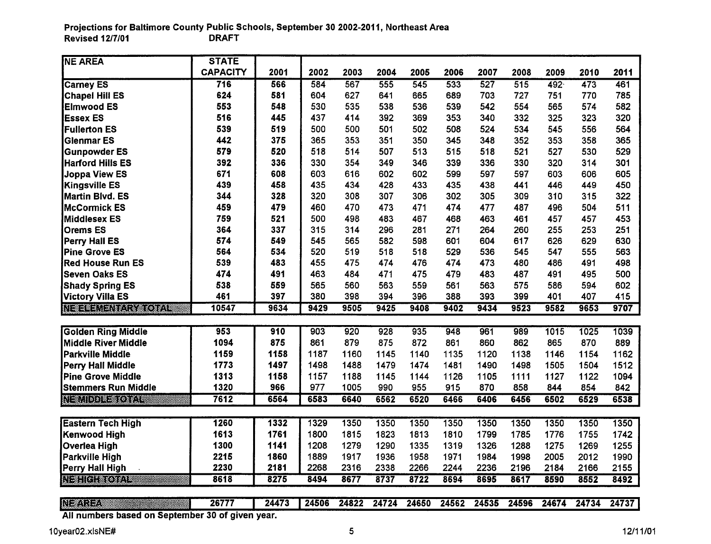| <b>NE AREA</b>                                   | <b>STATE</b>    |       |       |       |       |       |       |       |       |       |       |       |
|--------------------------------------------------|-----------------|-------|-------|-------|-------|-------|-------|-------|-------|-------|-------|-------|
|                                                  | <b>CAPACITY</b> | 2001  | 2002  | 2003  | 2004  | 2005  | 2006  | 2007  | 2008  | 2009  | 2010  | 2011  |
| <b>Carney ES</b>                                 | 716             | 566   | 584   | 567   | 555   | 545   | 533   | 527   | 515   | 492   | 473   | 461   |
| <b>Chapel Hill ES</b>                            | 624             | 581   | 604   | 627   | 641   | 665   | 689   | 703   | 727   | 751   | 770   | 785   |
| <b>Elmwood ES</b>                                | 553             | 548   | 530   | 535   | 538   | 536   | 539   | 542   | 554   | 565   | 574   | 582   |
| <b>Essex ES</b>                                  | 516             | 445   | 437   | 414   | 392   | 369   | 353   | 340   | 332   | 325   | 323   | 320   |
| <b>Fullerton ES</b>                              | 539             | 519   | 500   | 500   | 501   | 502   | 508   | 524   | 534   | 545   | 556   | 564   |
| <b>Glenmar ES</b>                                | 442             | 375   | 365   | 353   | 351   | 350   | 345   | 348   | 352   | 353   | 358   | 365   |
| <b>Gunpowder ES</b>                              | 579             | 520   | 518   | 514   | 507   | 513   | 515   | 518   | 521   | 527   | 530   | 529   |
| <b>Harford Hills ES</b>                          | 392             | 336   | 330   | 354   | 349   | 346   | 339   | 336   | 330   | 320   | 314   | 301   |
| Joppa View ES                                    | 671             | 608   | 603   | 616   | 602   | 602   | 599   | 597   | 597   | 603   | 606   | 605   |
| <b>Kingsville ES</b>                             | 439             | 458   | 435   | 434   | 428   | 433   | 435   | 438   | 441   | 446   | 449   | 450   |
| Martin Blvd. ES                                  | 344             | 328   | 320   | 308   | 307   | 306   | 302   | 305   | 309   | 310   | 315   | 322   |
| <b>McCormick ES</b>                              | 459             | 479   | 460   | 470   | 473   | 471   | 474   | 477   | 487   | 496   | 504   | 511   |
| Middlesex ES                                     | 759             | 521   | 500   | 498   | 483   | 467   | 468   | 463   | 461   | 457   | 457   | 453   |
| <b>Orems ES</b>                                  | 364             | 337   | 315   | 314   | 296   | 281   | 271   | 264   | 260   | 255   | 253   | 251   |
| Perry Hall ES                                    | 574             | 549   | 545   | 565   | 582   | 598   | 601   | 604   | 617   | 626   | 629   | 630   |
| <b>Pine Grove ES</b>                             | 564             | 534   | 520   | 519   | 518   | 518   | 529   | 536   | 545   | 547   | 555   | 563   |
| <b>Red House Run ES</b>                          | 539             | 483   | 455   | 475   | 474   | 476   | 474   | 473   | 480   | 486   | 491   | 498   |
| <b>Seven Oaks ES</b>                             | 474             | 491   | 463   | 484   | 471   | 475   | 479   | 483   | 487   | 491   | 495   | 500   |
| <b>Shady Spring ES</b>                           | 538             | 559   | 565   | 560   | 563   | 559   | 561   | 563   | 575   | 586   | 594   | 602   |
| Victory Villa ES                                 | 461             | 397   | 380   | 398   | 394   | 396   | 388   | 393   | 399   | 401   | 407   | 415   |
| <b>NETER AND STATE</b>                           | 10547           | 9634  | 9429  | 9505  | 9425  | 9408  | 9402  | 9434  | 9523  | 9582  | 9653  | 9707  |
|                                                  |                 |       |       |       |       |       |       |       |       |       |       |       |
| <b>Golden Ring Middle</b>                        | 953             | 910   | 903   | 920   | 928   | 935   | 948   | 961   | 989   | 1015  | 1025  | 1039  |
| <b>Middle River Middle</b>                       | 1094            | 875   | 861   | 879   | 875   | 872   | 861   | 860   | 862   | 865   | 870   | 889   |
| Parkville Middle                                 | 1159            | 1158  | 1187  | 1160  | 1145  | 1140  | 1135  | 1120  | 1138  | 1146  | 1154  | 1162  |
| Perry Hall Middle                                | 1773            | 1497  | 1498  | 1488  | 1479  | 1474  | 1481  | 1490  | 1498  | 1505  | 1504  | 1512  |
| <b>Pine Grove Middle</b>                         | 1313            | 1158  | 1157  | 1188  | 1145  | 1144  | 1126  | 1105  | 1111  | 1127  | 1122  | 1094  |
| <b>Stemmers Run Middle</b>                       | 1320            | 966   | 977   | 1005  | 990   | 955   | 915   | 870   | 858   | 844   | 854   | 842   |
| <u>IT and the second part</u>                    | 7612            | 6564  | 6583  | 6640  | 6562  | 6520  | 6466  | 6406  | 6456  | 6502  | 6529  | 6538  |
|                                                  |                 |       |       |       |       |       |       |       |       |       |       |       |
| <b>Eastern Tech High</b>                         | 1260            | 1332  | 1329  | 1350  | 1350  | 1350  | 1350  | 1350  | 1350  | 1350  | 1350  | 1350  |
| Kenwood High                                     | 1613            | 1761  | 1800  | 1815  | 1823  | 1813  | 1810  | 1799  | 1785  | 1776  | 1755  | 1742  |
| Overlea High                                     | 1300            | 1141  | 1208  | 1279  | 1290  | 1335  | 1319  | 1326  | 1288  | 1275  | 1269  | 1255  |
| <b>Parkville High</b>                            | 2215            | 1860  | 1889  | 1917  | 1936  | 1958  | 1971  | 1984  | 1998  | 2005  | 2012  | 1990  |
| Perry Hall High                                  | 2230            | 2181  | 2268  | 2316  | 2338  | 2266  | 2244  | 2236  | 2196  | 2184  | 2166  | 2155  |
| <u>ITENICI NECESSIN</u>                          | 8618            | 8275  | 8494  | 8677  | 8737  | 8722  | 8694  | 8695  | 8617  | 8590  | 8552  | 8492  |
| <b>NEWSBY</b>                                    | 26777           | 24473 | 24506 | 24822 | 24724 | 24650 | 24562 | 24535 | 24596 | 24674 | 24734 | 24737 |
| All numbers based on September 30 of given year. |                 |       |       |       |       |       |       |       |       |       |       |       |
|                                                  |                 |       |       |       |       |       |       |       |       |       |       |       |